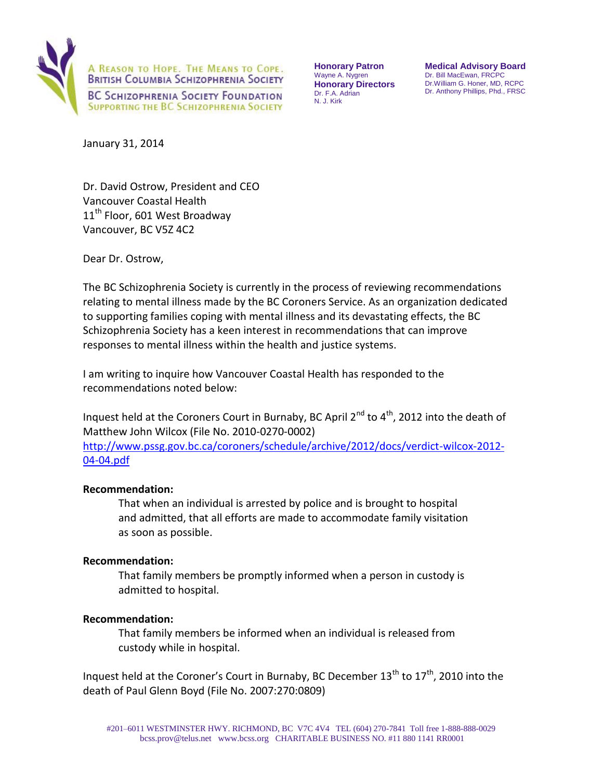

**Honorary Patron**  Wayne A. Nygren **Honorary Directors**  Dr. F.A. Adrian N. J. Kirk

**Medical Advisory Board**  Dr. Bill MacEwan, FRCPC Dr.William G. Honer, MD, RCPC Dr. Anthony Phillips, Phd., FRSC

January 31, 2014

Dr. David Ostrow, President and CEO Vancouver Coastal Health 11<sup>th</sup> Floor, 601 West Broadway Vancouver, BC V5Z 4C2

Dear Dr. Ostrow,

The BC Schizophrenia Society is currently in the process of reviewing recommendations relating to mental illness made by the BC Coroners Service. As an organization dedicated to supporting families coping with mental illness and its devastating effects, the BC Schizophrenia Society has a keen interest in recommendations that can improve responses to mental illness within the health and justice systems.

I am writing to inquire how Vancouver Coastal Health has responded to the recommendations noted below:

Inquest held at the Coroners Court in Burnaby, BC April 2<sup>nd</sup> to 4<sup>th</sup>, 2012 into the death of Matthew John Wilcox (File No. 2010-0270-0002) [http://www.pssg.gov.bc.ca/coroners/schedule/archive/2012/docs/verdict-wilcox-2012-](http://www.pssg.gov.bc.ca/coroners/schedule/archive/2012/docs/verdict-wilcox-2012-04-04.pdf) [04-04.pdf](http://www.pssg.gov.bc.ca/coroners/schedule/archive/2012/docs/verdict-wilcox-2012-04-04.pdf)

## **Recommendation:**

That when an individual is arrested by police and is brought to hospital and admitted, that all efforts are made to accommodate family visitation as soon as possible.

## **Recommendation:**

That family members be promptly informed when a person in custody is admitted to hospital.

## **Recommendation:**

That family members be informed when an individual is released from custody while in hospital.

Inquest held at the Coroner's Court in Burnaby, BC December  $13^{th}$  to  $17^{th}$ , 2010 into the death of Paul Glenn Boyd (File No. 2007:270:0809)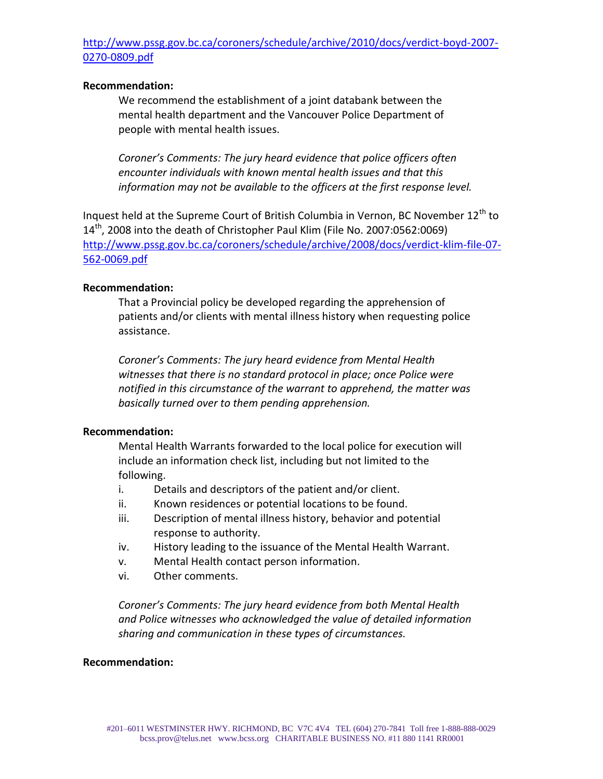# [http://www.pssg.gov.bc.ca/coroners/schedule/archive/2010/docs/verdict-boyd-2007-](http://www.pssg.gov.bc.ca/coroners/schedule/archive/2010/docs/verdict-boyd-2007-0270-0809.pdf) [0270-0809.pdf](http://www.pssg.gov.bc.ca/coroners/schedule/archive/2010/docs/verdict-boyd-2007-0270-0809.pdf)

## **Recommendation:**

We recommend the establishment of a joint databank between the mental health department and the Vancouver Police Department of people with mental health issues.

*Coroner's Comments: The jury heard evidence that police officers often encounter individuals with known mental health issues and that this information may not be available to the officers at the first response level.* 

Inquest held at the Supreme Court of British Columbia in Vernon, BC November 12<sup>th</sup> to  $14<sup>th</sup>$ , 2008 into the death of Christopher Paul Klim (File No. 2007:0562:0069) [http://www.pssg.gov.bc.ca/coroners/schedule/archive/2008/docs/verdict-klim-file-07-](http://www.pssg.gov.bc.ca/coroners/schedule/archive/2008/docs/verdict-klim-file-07-562-0069.pdf) [562-0069.pdf](http://www.pssg.gov.bc.ca/coroners/schedule/archive/2008/docs/verdict-klim-file-07-562-0069.pdf)

## **Recommendation:**

That a Provincial policy be developed regarding the apprehension of patients and/or clients with mental illness history when requesting police assistance.

*Coroner's Comments: The jury heard evidence from Mental Health witnesses that there is no standard protocol in place; once Police were notified in this circumstance of the warrant to apprehend, the matter was basically turned over to them pending apprehension.*

## **Recommendation:**

Mental Health Warrants forwarded to the local police for execution will include an information check list, including but not limited to the following.

- i. Details and descriptors of the patient and/or client.
- ii. Known residences or potential locations to be found.
- iii. Description of mental illness history, behavior and potential response to authority.
- iv. History leading to the issuance of the Mental Health Warrant.
- v. Mental Health contact person information.
- vi. Other comments.

*Coroner's Comments: The jury heard evidence from both Mental Health and Police witnesses who acknowledged the value of detailed information sharing and communication in these types of circumstances.* 

## **Recommendation:**